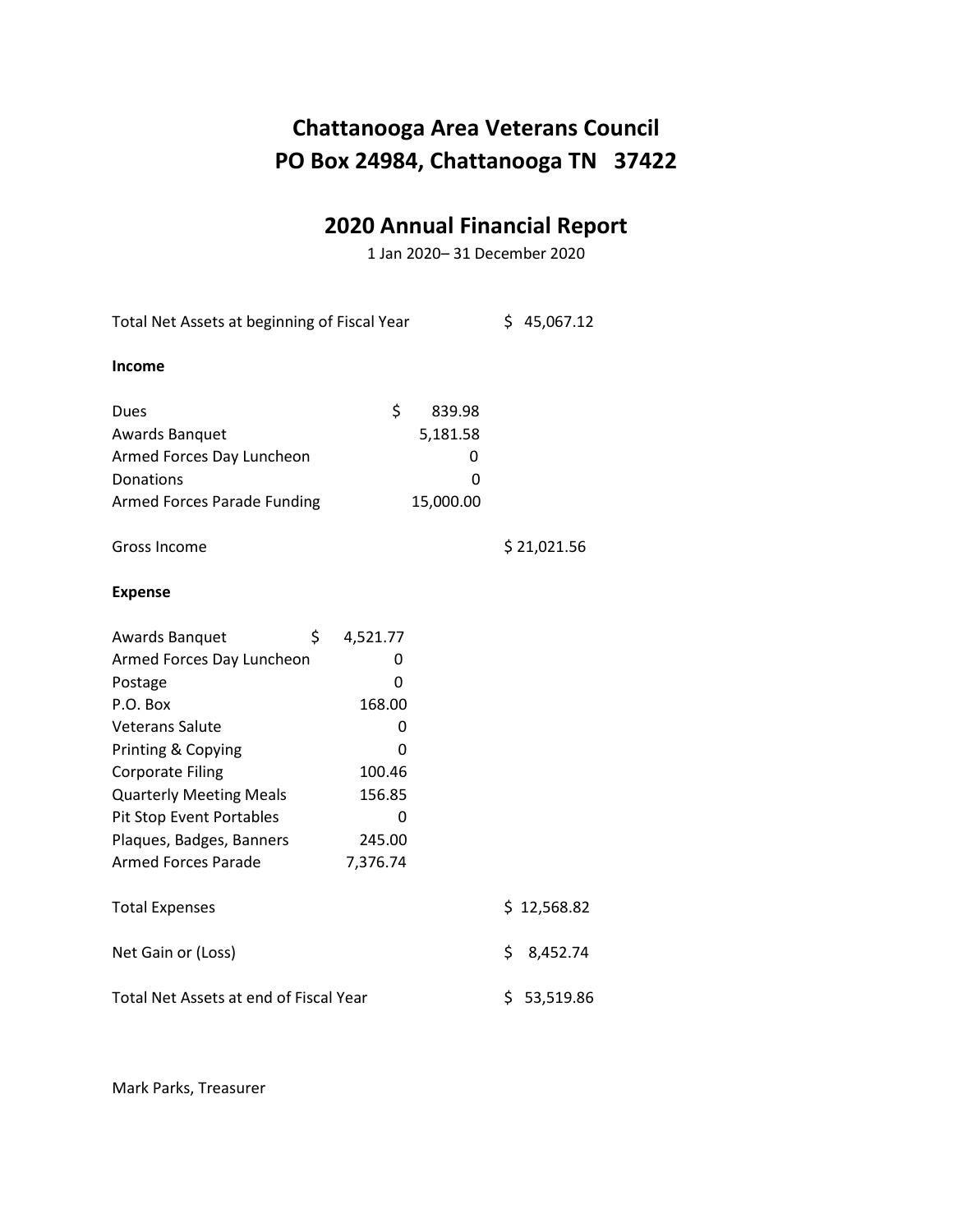#### **2020 Annual Financial Report**

1 Jan 2020– 31 December 2020

Total Net Assets at beginning of Fiscal Year \$ 45,067.12 **Income** Dues \$ 839.98 Awards Banquet 5,181.58 Armed Forces Day Luncheon 0 Donations 0 Armed Forces Parade Funding 15,000.00 Gross Income \$ 21,021.56 **Expense** Awards Banquet \$ 4,521.77 Armed Forces Day Luncheon 0 Postage 0 P.O. Box 168.00 Veterans Salute **Development** O Printing & Copying 0 Corporate Filing 100.46 Quarterly Meeting Meals 156.85 Pit Stop Event Portables 0 Plaques, Badges, Banners 245.00 Armed Forces Parade 7,376.74 Total Expenses  $$ 12,568.82$ Net Gain or (Loss)  $\qquad \qquad$  8,452.74 Total Net Assets at end of Fiscal Year \$ 53,519.86

Mark Parks, Treasurer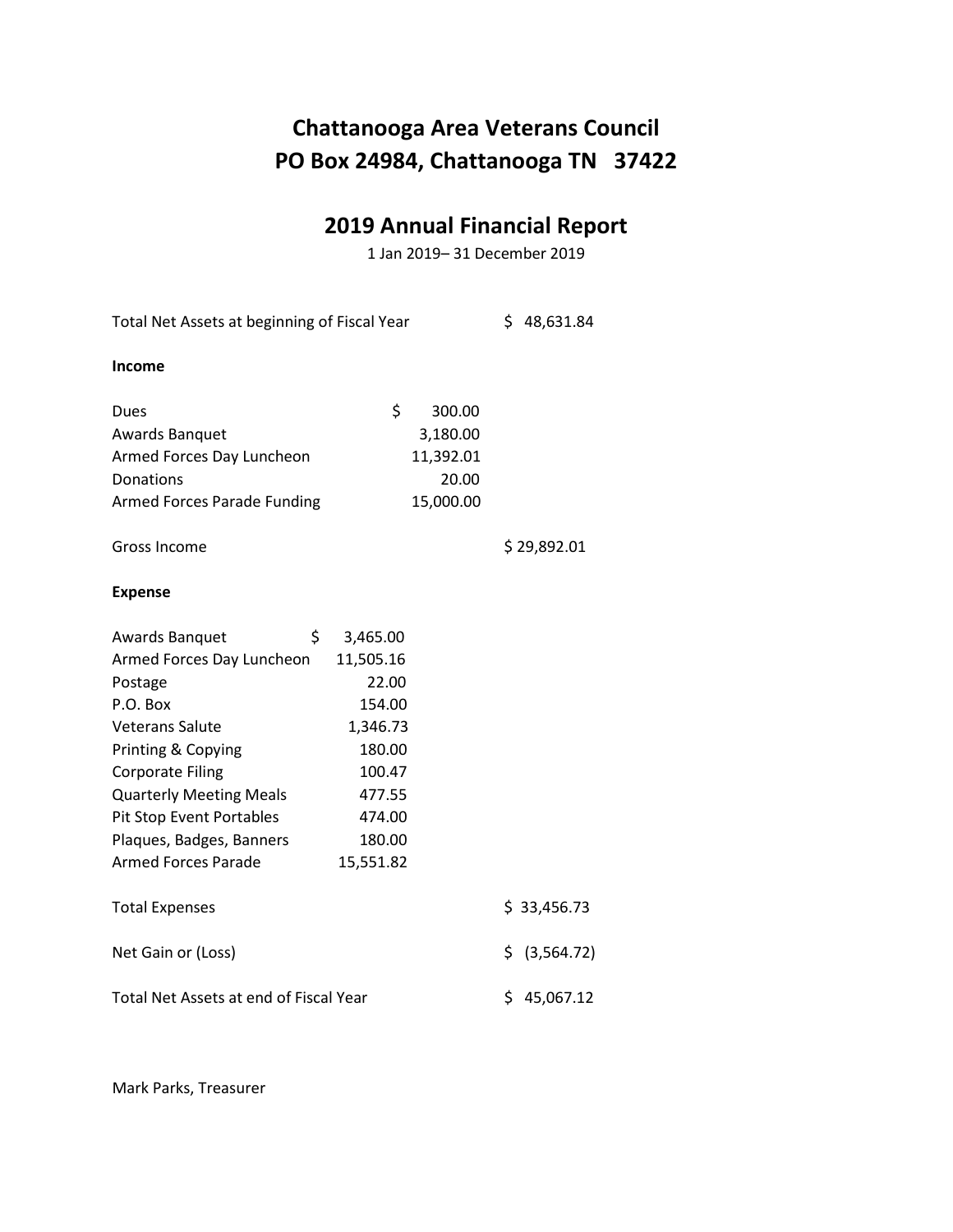#### **2019 Annual Financial Report**

1 Jan 2019– 31 December 2019

Total Net Assets at beginning of Fiscal Year \$ 48,631.84 **Income** Dues \$ 300.00 Awards Banquet 3,180.00 Armed Forces Day Luncheon 11,392.01 Donations 20.00 Armed Forces Parade Funding 15,000.00 Gross Income \$ 29,892.01 **Expense** Awards Banquet \$ 3,465.00 Armed Forces Day Luncheon 11,505.16 Postage 22.00 P.O. Box 154.00 Veterans Salute 1,346.73 Printing & Copying 180.00 Corporate Filing 100.47 Quarterly Meeting Meals 477.55 Pit Stop Event Portables 474.00 Plaques, Badges, Banners 180.00 Armed Forces Parade 15,551.82 Total Expenses  $\lesssim$  33,456.73 Net Gain or (Loss)  $\zeta$  (3,564.72) Total Net Assets at end of Fiscal Year \$ 45,067.12

Mark Parks, Treasurer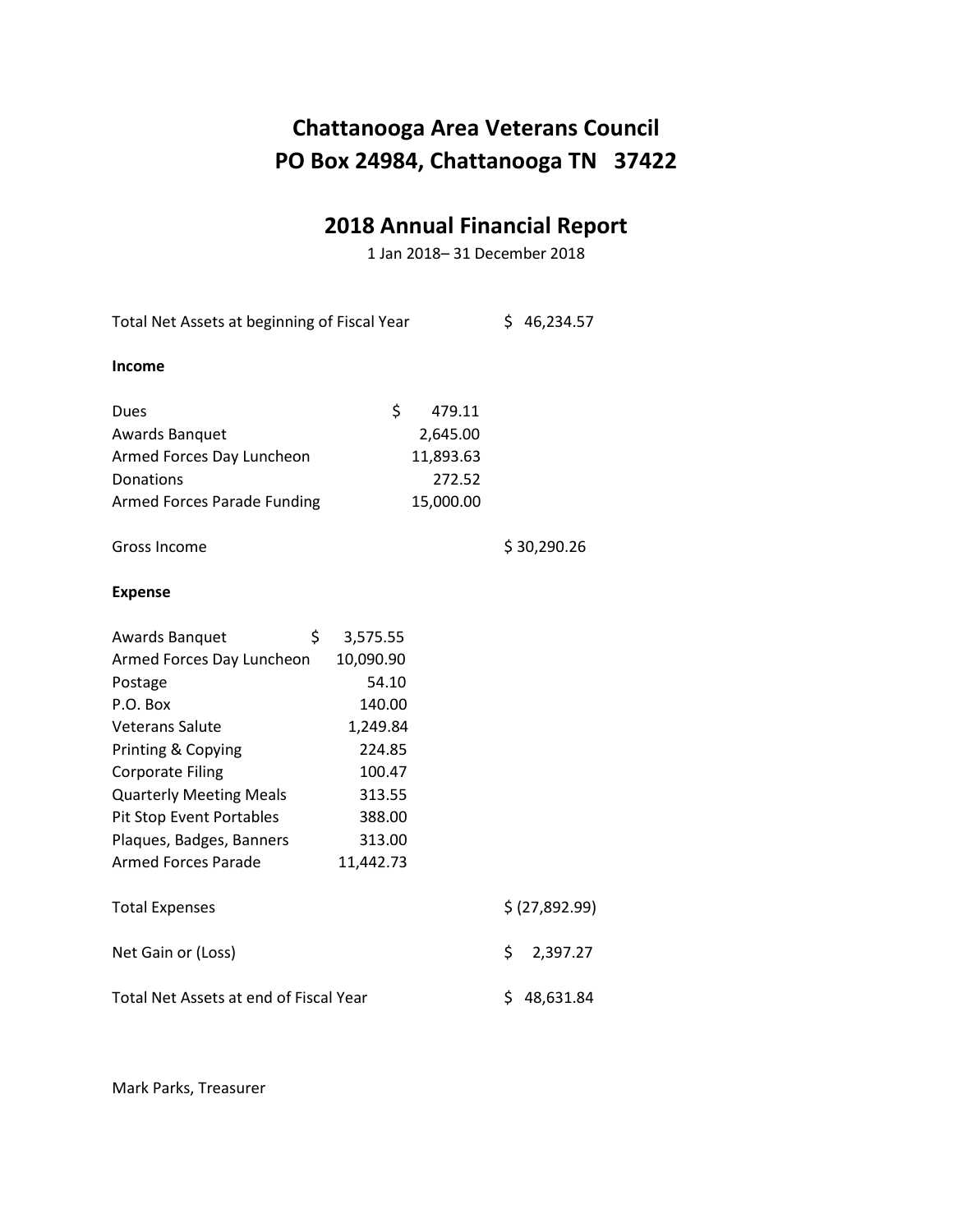#### **2018 Annual Financial Report**

1 Jan 2018– 31 December 2018

Total Net Assets at beginning of Fiscal Year \$ 46,234.57 **Income** Dues \$ 479.11 Awards Banquet 2,645.00 Armed Forces Day Luncheon 11,893.63 Donations 272.52 Armed Forces Parade Funding 15,000.00 Gross Income \$ 30,290.26 **Expense** Awards Banquet \$ 3,575.55 Armed Forces Day Luncheon 10,090.90 Postage 54.10 P.O. Box 140.00 Veterans Salute 1,249.84 Printing & Copying 224.85 Corporate Filing 100.47 Quarterly Meeting Meals 313.55 Pit Stop Event Portables 388.00 Plaques, Badges, Banners 313.00 Armed Forces Parade 11,442.73 Total Expenses  $\zeta$  (27,892.99) Net Gain or (Loss)  $\angle$  2,397.27 Total Net Assets at end of Fiscal Year \$ 48,631.84

Mark Parks, Treasurer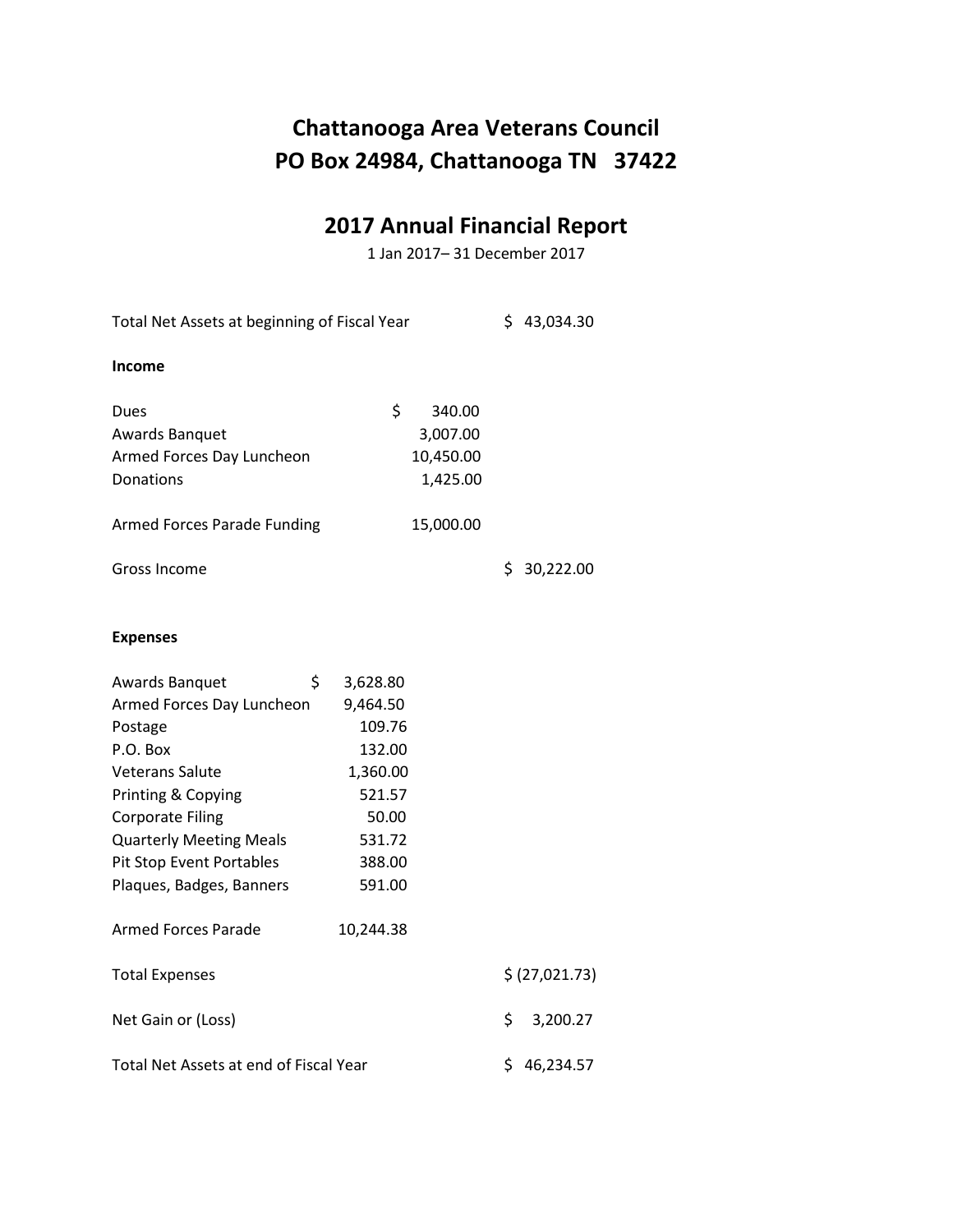# **2017 Annual Financial Report**

1 Jan 2017– 31 December 2017

| Total Net Assets at beginning of Fiscal Year |           |           | \$43,034.30 |                |
|----------------------------------------------|-----------|-----------|-------------|----------------|
| Income                                       |           |           |             |                |
| Dues                                         | \$        | 340.00    |             |                |
| Awards Banquet                               |           | 3,007.00  |             |                |
| Armed Forces Day Luncheon                    |           | 10,450.00 |             |                |
| Donations                                    |           | 1,425.00  |             |                |
| Armed Forces Parade Funding                  |           | 15,000.00 |             |                |
| Gross Income                                 |           |           | S.          | 30,222.00      |
| <b>Expenses</b>                              |           |           |             |                |
| \$<br>Awards Banquet                         | 3,628.80  |           |             |                |
| Armed Forces Day Luncheon                    | 9,464.50  |           |             |                |
| Postage                                      | 109.76    |           |             |                |
| P.O. Box                                     | 132.00    |           |             |                |
| <b>Veterans Salute</b>                       | 1,360.00  |           |             |                |
| Printing & Copying                           | 521.57    |           |             |                |
| <b>Corporate Filing</b>                      | 50.00     |           |             |                |
| <b>Quarterly Meeting Meals</b>               | 531.72    |           |             |                |
| Pit Stop Event Portables                     | 388.00    |           |             |                |
| Plaques, Badges, Banners                     | 591.00    |           |             |                |
| <b>Armed Forces Parade</b>                   | 10,244.38 |           |             |                |
| <b>Total Expenses</b>                        |           |           |             | \$ (27,021.73) |
| Net Gain or (Loss)                           |           |           | \$          | 3,200.27       |
| Total Net Assets at end of Fiscal Year       |           |           |             | \$46,234.57    |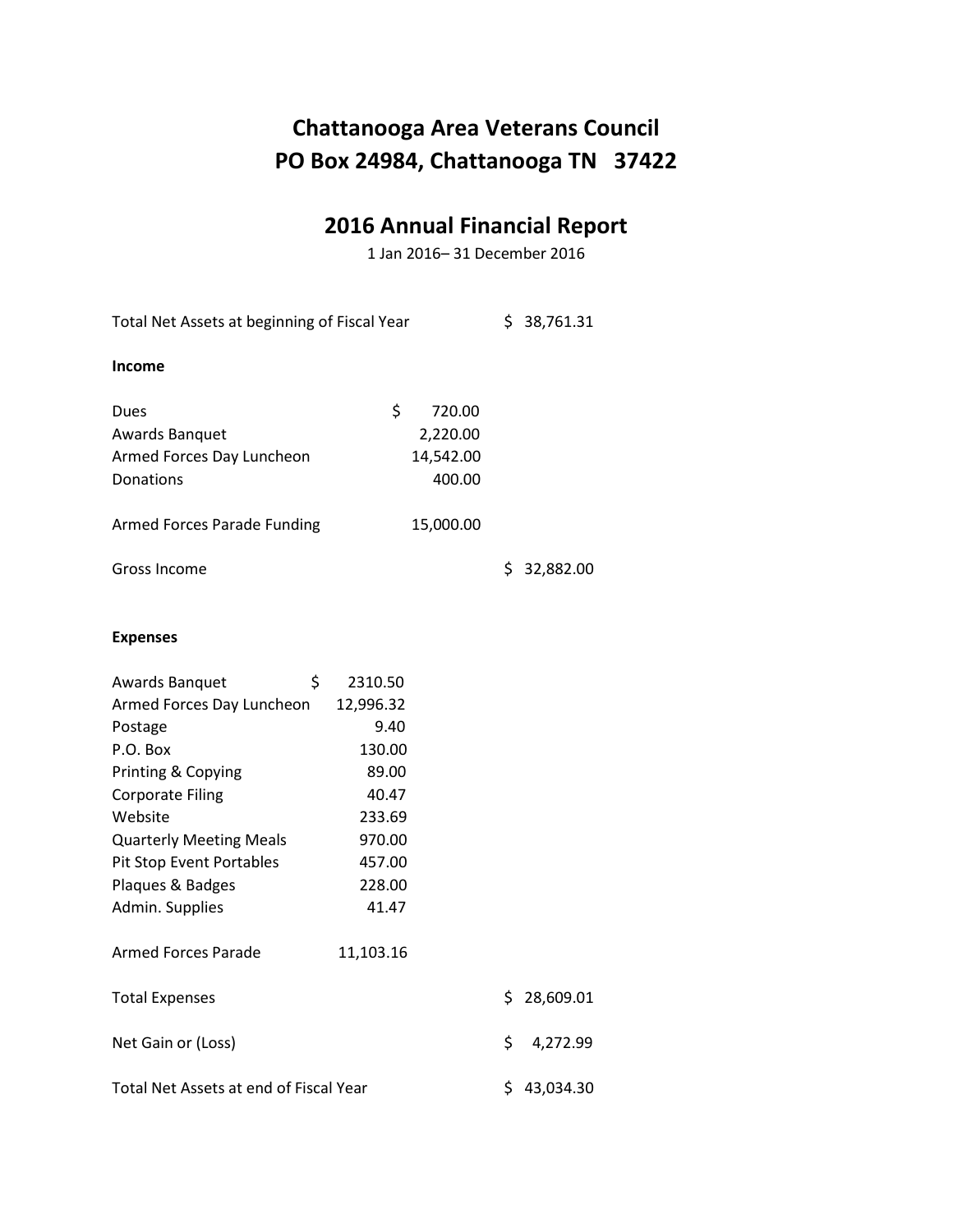### **2016 Annual Financial Report**

1 Jan 2016– 31 December 2016

Total Net Assets at beginning of Fiscal Year \$ 38,761.31 **Income** Dues \$ 720.00 Awards Banquet 2,220.00 Armed Forces Day Luncheon 14,542.00 Donations 400.00 Armed Forces Parade Funding 15,000.00 Gross Income \$ 32,882.00

#### **Expenses**

| Awards Banquet                         | \$<br>2310.50 |     |             |
|----------------------------------------|---------------|-----|-------------|
| Armed Forces Day Luncheon              | 12,996.32     |     |             |
| Postage                                | 9.40          |     |             |
| P.O. Box                               | 130.00        |     |             |
| Printing & Copying                     | 89.00         |     |             |
| <b>Corporate Filing</b>                | 40.47         |     |             |
| Website                                | 233.69        |     |             |
| <b>Quarterly Meeting Meals</b>         | 970.00        |     |             |
| Pit Stop Event Portables               | 457.00        |     |             |
| Plaques & Badges                       | 228.00        |     |             |
| Admin. Supplies                        | 41.47         |     |             |
| <b>Armed Forces Parade</b>             | 11,103.16     |     |             |
| <b>Total Expenses</b>                  |               |     | \$28,609.01 |
| Net Gain or (Loss)                     |               | \$  | 4,272.99    |
| Total Net Assets at end of Fiscal Year |               | \$. | 43,034.30   |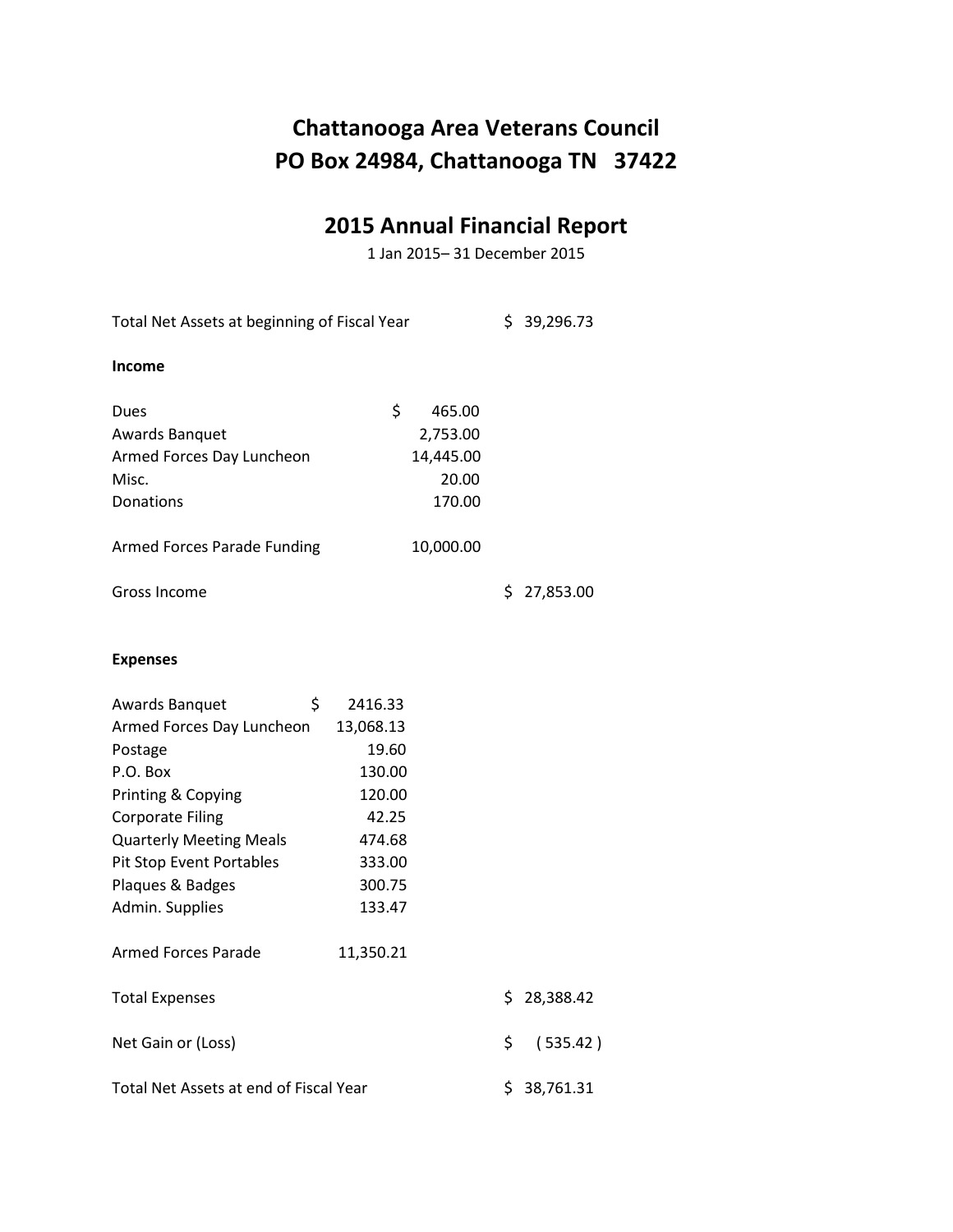# **2015 Annual Financial Report**

1 Jan 2015– 31 December 2015

| Total Net Assets at beginning of Fiscal Year                                                                                                                                                                                                                 |                                                                                                                 |     | \$39,296.73 |
|--------------------------------------------------------------------------------------------------------------------------------------------------------------------------------------------------------------------------------------------------------------|-----------------------------------------------------------------------------------------------------------------|-----|-------------|
| <b>Income</b>                                                                                                                                                                                                                                                |                                                                                                                 |     |             |
| Dues<br><b>Awards Banquet</b><br>Armed Forces Day Luncheon<br>Misc.<br>Donations                                                                                                                                                                             | \$<br>465.00<br>2,753.00<br>14,445.00<br>20.00<br>170.00                                                        |     |             |
| Armed Forces Parade Funding                                                                                                                                                                                                                                  | 10,000.00                                                                                                       |     |             |
| Gross Income                                                                                                                                                                                                                                                 |                                                                                                                 |     | \$27,853.00 |
| <b>Expenses</b>                                                                                                                                                                                                                                              |                                                                                                                 |     |             |
| \$<br>Awards Banquet<br>Armed Forces Day Luncheon<br>Postage<br>P.O. Box<br>Printing & Copying<br><b>Corporate Filing</b><br><b>Quarterly Meeting Meals</b><br>Pit Stop Event Portables<br>Plaques & Badges<br>Admin. Supplies<br><b>Armed Forces Parade</b> | 2416.33<br>13,068.13<br>19.60<br>130.00<br>120.00<br>42.25<br>474.68<br>333.00<br>300.75<br>133.47<br>11,350.21 |     |             |
| <b>Total Expenses</b>                                                                                                                                                                                                                                        |                                                                                                                 | \$  | 28,388.42   |
| Net Gain or (Loss)                                                                                                                                                                                                                                           |                                                                                                                 | \$  | (535.42)    |
| Total Net Assets at end of Fiscal Year                                                                                                                                                                                                                       |                                                                                                                 | \$. | 38,761.31   |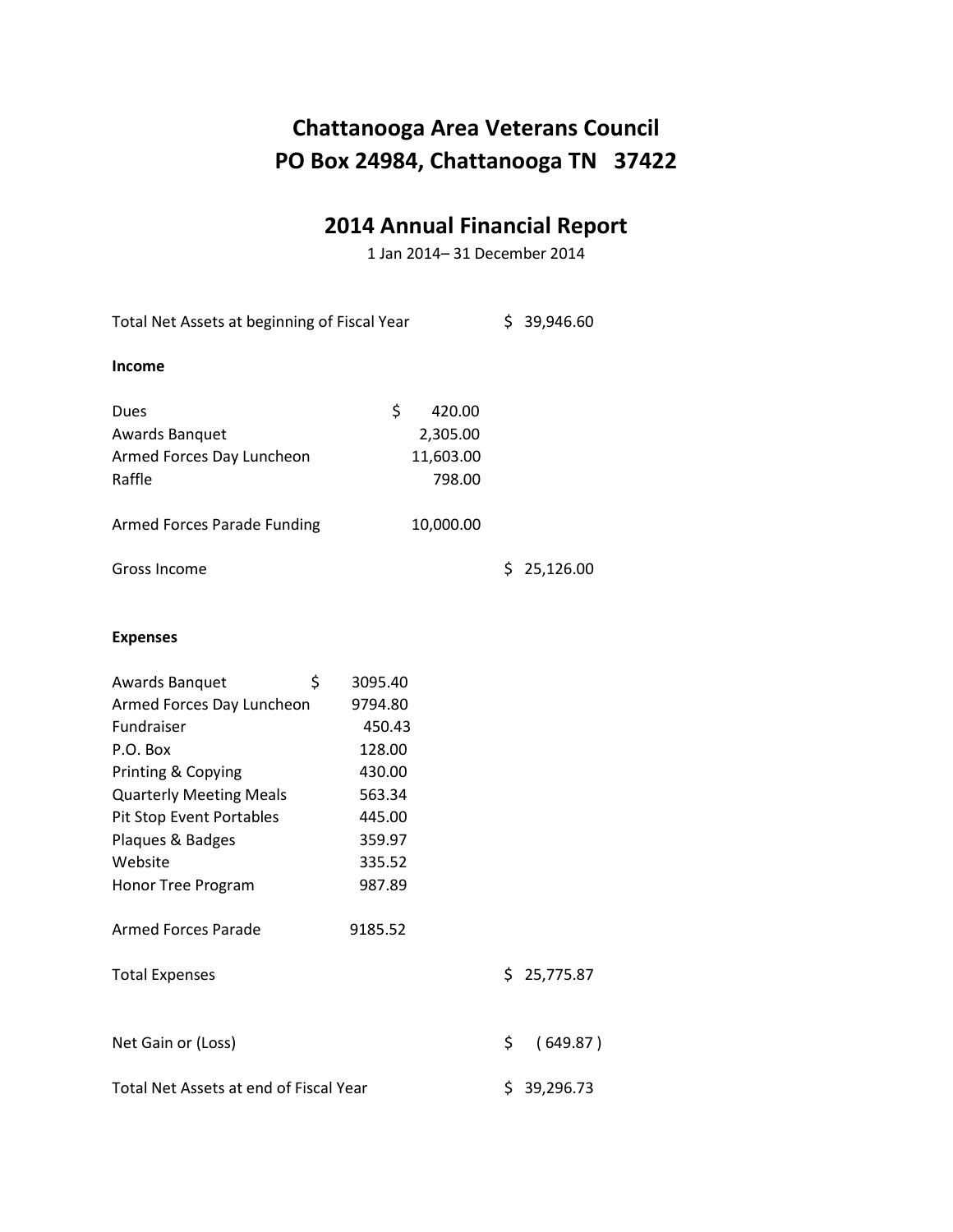# **2014 Annual Financial Report**

1 Jan 2014– 31 December 2014

| Total Net Assets at beginning of Fiscal Year                                                                                                                                                                                                       |                                                                                                               |     | \$39,946.60 |
|----------------------------------------------------------------------------------------------------------------------------------------------------------------------------------------------------------------------------------------------------|---------------------------------------------------------------------------------------------------------------|-----|-------------|
| <b>Income</b>                                                                                                                                                                                                                                      |                                                                                                               |     |             |
| Dues<br><b>Awards Banquet</b><br>Armed Forces Day Luncheon<br>Raffle                                                                                                                                                                               | \$<br>420.00<br>2,305.00<br>11,603.00<br>798.00                                                               |     |             |
| Armed Forces Parade Funding                                                                                                                                                                                                                        | 10,000.00                                                                                                     |     |             |
| Gross Income                                                                                                                                                                                                                                       |                                                                                                               | \$  | 25,126.00   |
| <b>Expenses</b>                                                                                                                                                                                                                                    |                                                                                                               |     |             |
| \$<br>Awards Banquet<br>Armed Forces Day Luncheon<br>Fundraiser<br>P.O. Box<br>Printing & Copying<br><b>Quarterly Meeting Meals</b><br>Pit Stop Event Portables<br>Plaques & Badges<br>Website<br>Honor Tree Program<br><b>Armed Forces Parade</b> | 3095.40<br>9794.80<br>450.43<br>128.00<br>430.00<br>563.34<br>445.00<br>359.97<br>335.52<br>987.89<br>9185.52 |     |             |
| <b>Total Expenses</b>                                                                                                                                                                                                                              |                                                                                                               |     | \$25,775.87 |
| Net Gain or (Loss)                                                                                                                                                                                                                                 |                                                                                                               | \$  | (649.87)    |
| Total Net Assets at end of Fiscal Year                                                                                                                                                                                                             |                                                                                                               | \$. | 39,296.73   |